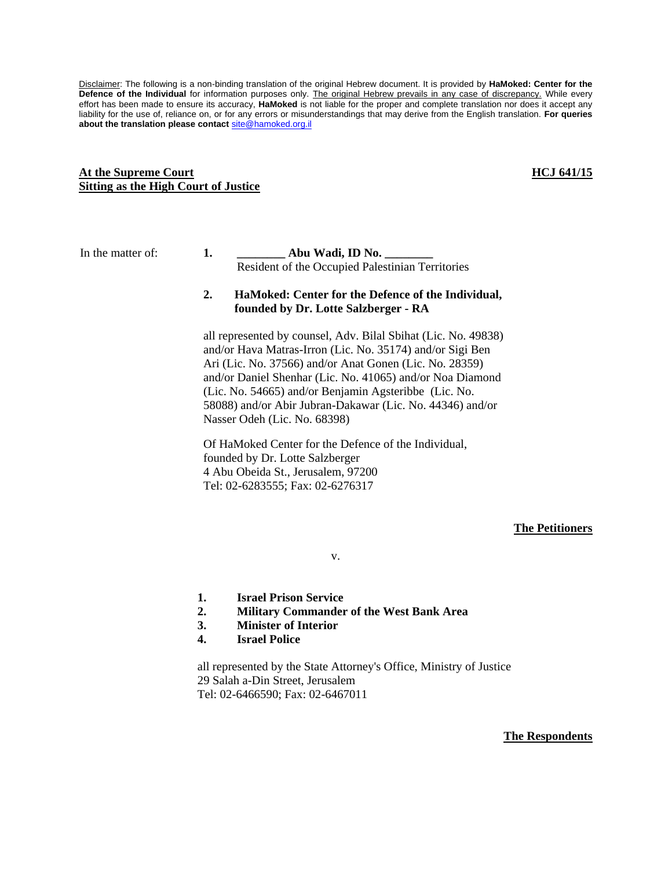Disclaimer: The following is a non-binding translation of the original Hebrew document. It is provided by **HaMoked: Center for the**  Defence of the Individual for information purposes only. The original Hebrew prevails in any case of discrepancy. While every effort has been made to ensure its accuracy, **HaMoked** is not liable for the proper and complete translation nor does it accept any liability for the use of, reliance on, or for any errors or misunderstandings that may derive from the English translation. **For queries about the translation please contact** [site@hamoked.org.il](mailto:site@hamoked.org.il)

#### **At the Supreme Court Sitting as the High Court of Justice**

#### **HCJ 641/15**

## In the matter of: **1. \_\_\_\_\_\_\_\_ Abu Wadi, ID No. \_\_\_\_\_\_\_\_** Resident of the Occupied Palestinian Territories

### **2. HaMoked: Center for the Defence of the Individual, founded by Dr. Lotte Salzberger - RA**

all represented by counsel, Adv. Bilal Sbihat (Lic. No. 49838) and/or Hava Matras-Irron (Lic. No. 35174) and/or Sigi Ben Ari (Lic. No. 37566) and/or Anat Gonen (Lic. No. 28359) and/or Daniel Shenhar (Lic. No. 41065) and/or Noa Diamond (Lic. No. 54665) and/or Benjamin Agsteribbe (Lic. No. 58088) and/or Abir Jubran-Dakawar (Lic. No. 44346) and/or Nasser Odeh (Lic. No. 68398)

Of HaMoked Center for the Defence of the Individual, founded by Dr. Lotte Salzberger 4 Abu Obeida St., Jerusalem, 97200 Tel: 02-6283555; Fax: 02-6276317

### **The Petitioners**

v.

- **1. Israel Prison Service**
- **2. Military Commander of the West Bank Area**
- **3. Minister of Interior**
- **4. Israel Police**

all represented by the State Attorney's Office, Ministry of Justice 29 Salah a-Din Street, Jerusalem Tel: 02-6466590; Fax: 02-6467011

**The Respondents**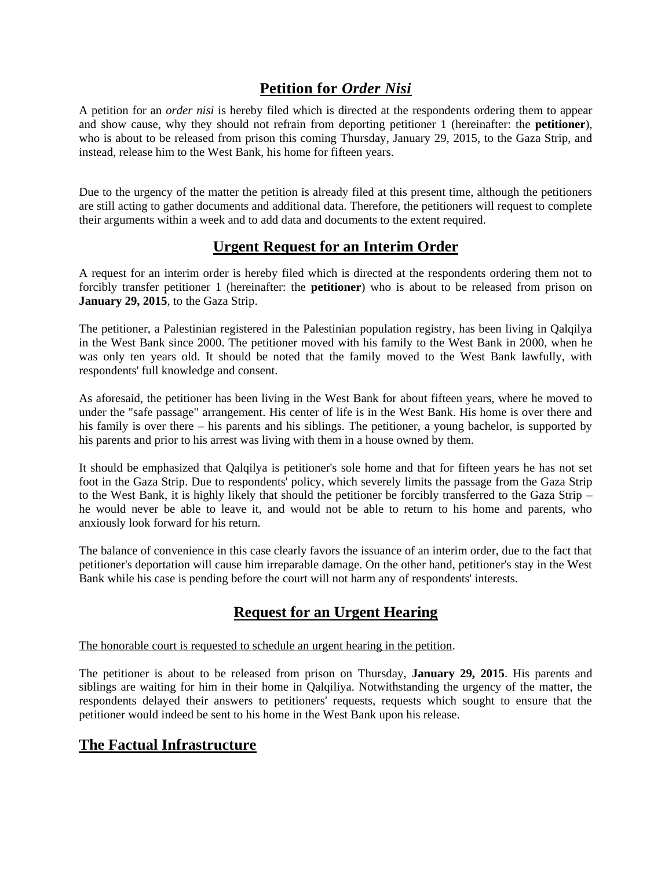## **Petition for** *Order Nisi*

A petition for an *order nisi* is hereby filed which is directed at the respondents ordering them to appear and show cause, why they should not refrain from deporting petitioner 1 (hereinafter: the **petitioner**), who is about to be released from prison this coming Thursday, January 29, 2015, to the Gaza Strip, and instead, release him to the West Bank, his home for fifteen years.

Due to the urgency of the matter the petition is already filed at this present time, although the petitioners are still acting to gather documents and additional data. Therefore, the petitioners will request to complete their arguments within a week and to add data and documents to the extent required.

## **Urgent Request for an Interim Order**

A request for an interim order is hereby filed which is directed at the respondents ordering them not to forcibly transfer petitioner 1 (hereinafter: the **petitioner**) who is about to be released from prison on **January 29, 2015**, to the Gaza Strip.

The petitioner, a Palestinian registered in the Palestinian population registry, has been living in Qalqilya in the West Bank since 2000. The petitioner moved with his family to the West Bank in 2000, when he was only ten years old. It should be noted that the family moved to the West Bank lawfully, with respondents' full knowledge and consent.

As aforesaid, the petitioner has been living in the West Bank for about fifteen years, where he moved to under the "safe passage" arrangement. His center of life is in the West Bank. His home is over there and his family is over there – his parents and his siblings. The petitioner, a young bachelor, is supported by his parents and prior to his arrest was living with them in a house owned by them.

It should be emphasized that Qalqilya is petitioner's sole home and that for fifteen years he has not set foot in the Gaza Strip. Due to respondents' policy, which severely limits the passage from the Gaza Strip to the West Bank, it is highly likely that should the petitioner be forcibly transferred to the Gaza Strip – he would never be able to leave it, and would not be able to return to his home and parents, who anxiously look forward for his return.

The balance of convenience in this case clearly favors the issuance of an interim order, due to the fact that petitioner's deportation will cause him irreparable damage. On the other hand, petitioner's stay in the West Bank while his case is pending before the court will not harm any of respondents' interests.

# **Request for an Urgent Hearing**

### The honorable court is requested to schedule an urgent hearing in the petition.

The petitioner is about to be released from prison on Thursday, **January 29, 2015**. His parents and siblings are waiting for him in their home in Qalqiliya. Notwithstanding the urgency of the matter, the respondents delayed their answers to petitioners' requests, requests which sought to ensure that the petitioner would indeed be sent to his home in the West Bank upon his release.

## **The Factual Infrastructure**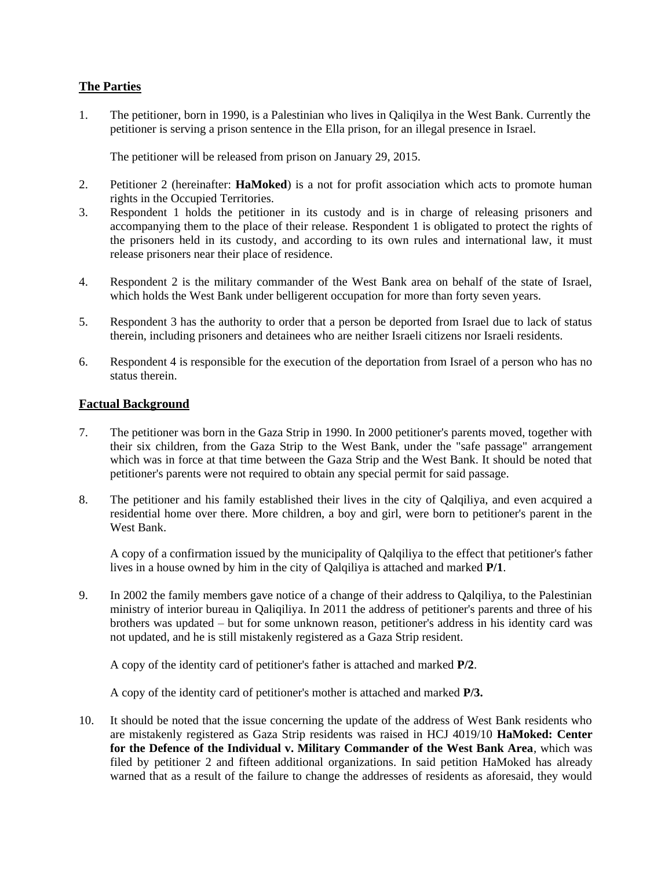## **The Parties**

1. The petitioner, born in 1990, is a Palestinian who lives in Qaliqilya in the West Bank. Currently the petitioner is serving a prison sentence in the Ella prison, for an illegal presence in Israel.

The petitioner will be released from prison on January 29, 2015.

- 2. Petitioner 2 (hereinafter: **HaMoked**) is a not for profit association which acts to promote human rights in the Occupied Territories.
- 3. Respondent 1 holds the petitioner in its custody and is in charge of releasing prisoners and accompanying them to the place of their release. Respondent 1 is obligated to protect the rights of the prisoners held in its custody, and according to its own rules and international law, it must release prisoners near their place of residence.
- 4. Respondent 2 is the military commander of the West Bank area on behalf of the state of Israel, which holds the West Bank under belligerent occupation for more than forty seven years.
- 5. Respondent 3 has the authority to order that a person be deported from Israel due to lack of status therein, including prisoners and detainees who are neither Israeli citizens nor Israeli residents.
- 6. Respondent 4 is responsible for the execution of the deportation from Israel of a person who has no status therein.

### **Factual Background**

- 7. The petitioner was born in the Gaza Strip in 1990. In 2000 petitioner's parents moved, together with their six children, from the Gaza Strip to the West Bank, under the "safe passage" arrangement which was in force at that time between the Gaza Strip and the West Bank. It should be noted that petitioner's parents were not required to obtain any special permit for said passage.
- 8. The petitioner and his family established their lives in the city of Qalqiliya, and even acquired a residential home over there. More children, a boy and girl, were born to petitioner's parent in the West Bank.

A copy of a confirmation issued by the municipality of Qalqiliya to the effect that petitioner's father lives in a house owned by him in the city of Qalqiliya is attached and marked **P/1**.

9. In 2002 the family members gave notice of a change of their address to Qalqiliya, to the Palestinian ministry of interior bureau in Qaliqiliya. In 2011 the address of petitioner's parents and three of his brothers was updated – but for some unknown reason, petitioner's address in his identity card was not updated, and he is still mistakenly registered as a Gaza Strip resident.

A copy of the identity card of petitioner's father is attached and marked **P/2**.

A copy of the identity card of petitioner's mother is attached and marked **P/3.** 

10. It should be noted that the issue concerning the update of the address of West Bank residents who are mistakenly registered as Gaza Strip residents was raised in HCJ 4019/10 **HaMoked: Center for the Defence of the Individual v. Military Commander of the West Bank Area**, which was filed by petitioner 2 and fifteen additional organizations. In said petition HaMoked has already warned that as a result of the failure to change the addresses of residents as aforesaid, they would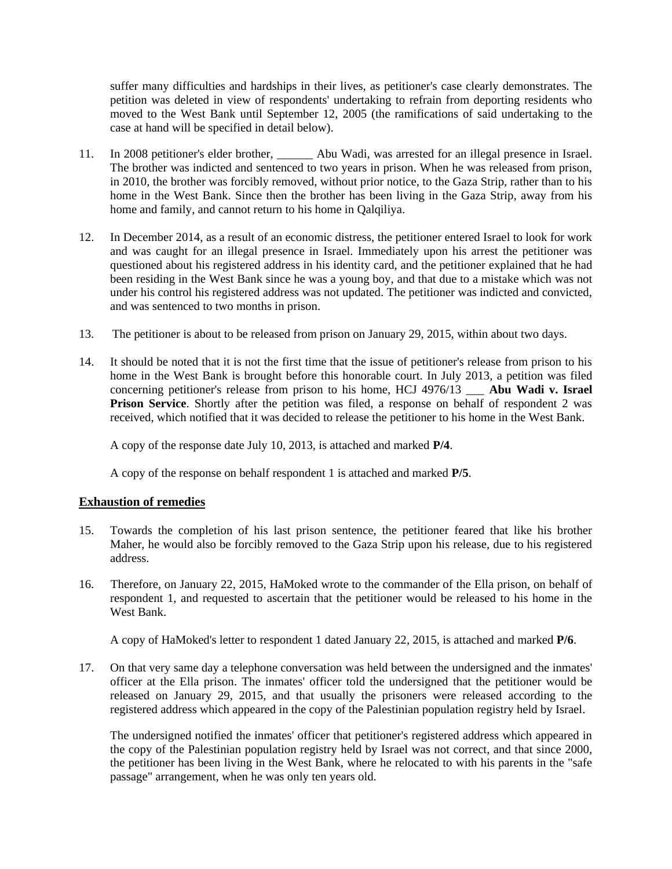suffer many difficulties and hardships in their lives, as petitioner's case clearly demonstrates. The petition was deleted in view of respondents' undertaking to refrain from deporting residents who moved to the West Bank until September 12, 2005 (the ramifications of said undertaking to the case at hand will be specified in detail below).

- 11. In 2008 petitioner's elder brother, \_\_\_\_\_\_ Abu Wadi, was arrested for an illegal presence in Israel. The brother was indicted and sentenced to two years in prison. When he was released from prison, in 2010, the brother was forcibly removed, without prior notice, to the Gaza Strip, rather than to his home in the West Bank. Since then the brother has been living in the Gaza Strip, away from his home and family, and cannot return to his home in Qalqiliya.
- 12. In December 2014, as a result of an economic distress, the petitioner entered Israel to look for work and was caught for an illegal presence in Israel. Immediately upon his arrest the petitioner was questioned about his registered address in his identity card, and the petitioner explained that he had been residing in the West Bank since he was a young boy, and that due to a mistake which was not under his control his registered address was not updated. The petitioner was indicted and convicted, and was sentenced to two months in prison.
- 13. The petitioner is about to be released from prison on January 29, 2015, within about two days.
- 14. It should be noted that it is not the first time that the issue of petitioner's release from prison to his home in the West Bank is brought before this honorable court. In July 2013, a petition was filed concerning petitioner's release from prison to his home, HCJ 4976/13 \_\_\_ **Abu Wadi v. Israel Prison Service**. Shortly after the petition was filed, a response on behalf of respondent 2 was received, which notified that it was decided to release the petitioner to his home in the West Bank.

A copy of the response date July 10, 2013, is attached and marked **P/4**.

A copy of the response on behalf respondent 1 is attached and marked **P/5**.

### **Exhaustion of remedies**

- 15. Towards the completion of his last prison sentence, the petitioner feared that like his brother Maher, he would also be forcibly removed to the Gaza Strip upon his release, due to his registered address.
- 16. Therefore, on January 22, 2015, HaMoked wrote to the commander of the Ella prison, on behalf of respondent 1, and requested to ascertain that the petitioner would be released to his home in the West Bank.

A copy of HaMoked's letter to respondent 1 dated January 22, 2015, is attached and marked **P/6**.

17. On that very same day a telephone conversation was held between the undersigned and the inmates' officer at the Ella prison. The inmates' officer told the undersigned that the petitioner would be released on January 29, 2015, and that usually the prisoners were released according to the registered address which appeared in the copy of the Palestinian population registry held by Israel.

The undersigned notified the inmates' officer that petitioner's registered address which appeared in the copy of the Palestinian population registry held by Israel was not correct, and that since 2000, the petitioner has been living in the West Bank, where he relocated to with his parents in the "safe passage" arrangement, when he was only ten years old.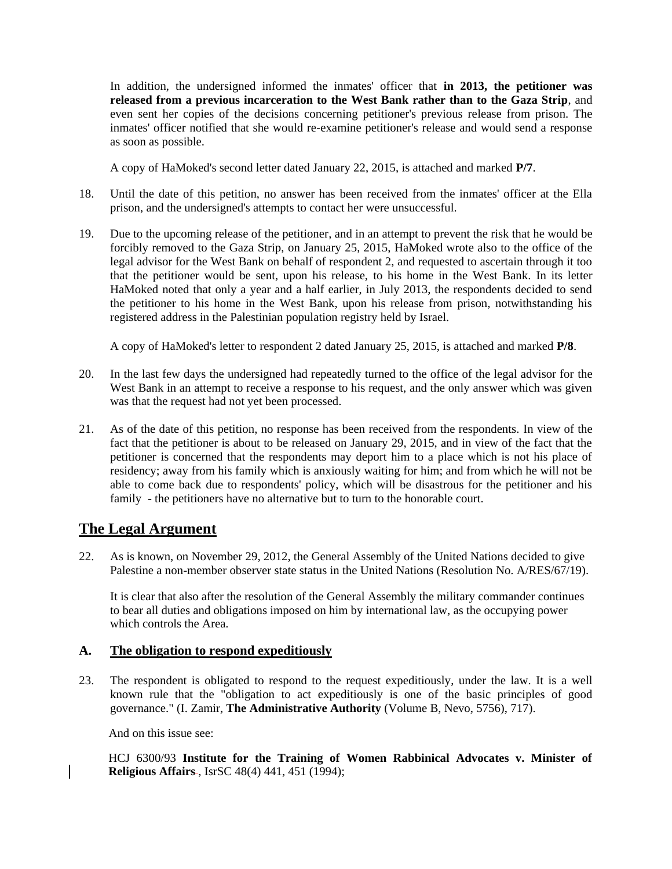In addition, the undersigned informed the inmates' officer that **in 2013, the petitioner was released from a previous incarceration to the West Bank rather than to the Gaza Strip**, and even sent her copies of the decisions concerning petitioner's previous release from prison. The inmates' officer notified that she would re-examine petitioner's release and would send a response as soon as possible.

A copy of HaMoked's second letter dated January 22, 2015, is attached and marked **P/7**.

- 18. Until the date of this petition, no answer has been received from the inmates' officer at the Ella prison, and the undersigned's attempts to contact her were unsuccessful.
- 19. Due to the upcoming release of the petitioner, and in an attempt to prevent the risk that he would be forcibly removed to the Gaza Strip, on January 25, 2015, HaMoked wrote also to the office of the legal advisor for the West Bank on behalf of respondent 2, and requested to ascertain through it too that the petitioner would be sent, upon his release, to his home in the West Bank. In its letter HaMoked noted that only a year and a half earlier, in July 2013, the respondents decided to send the petitioner to his home in the West Bank, upon his release from prison, notwithstanding his registered address in the Palestinian population registry held by Israel.

A copy of HaMoked's letter to respondent 2 dated January 25, 2015, is attached and marked **P/8**.

- 20. In the last few days the undersigned had repeatedly turned to the office of the legal advisor for the West Bank in an attempt to receive a response to his request, and the only answer which was given was that the request had not yet been processed.
- 21. As of the date of this petition, no response has been received from the respondents. In view of the fact that the petitioner is about to be released on January 29, 2015, and in view of the fact that the petitioner is concerned that the respondents may deport him to a place which is not his place of residency; away from his family which is anxiously waiting for him; and from which he will not be able to come back due to respondents' policy, which will be disastrous for the petitioner and his family - the petitioners have no alternative but to turn to the honorable court.

## **The Legal Argument**

22. As is known, on November 29, 2012, the General Assembly of the United Nations decided to give Palestine a non-member observer state status in the United Nations (Resolution No. A/RES/67/19).

It is clear that also after the resolution of the General Assembly the military commander continues to bear all duties and obligations imposed on him by international law, as the occupying power which controls the Area.

## **A. The obligation to respond expeditiously**

23. The respondent is obligated to respond to the request expeditiously, under the law. It is a well known rule that the "obligation to act expeditiously is one of the basic principles of good governance." (I. Zamir, **The Administrative Authority** (Volume B, Nevo, 5756), 717).

And on this issue see:

HCJ 6300/93 **Institute for the Training of Women Rabbinical Advocates v. Minister of Religious Affairs-, IsrSC 48(4) 441, 451 (1994);**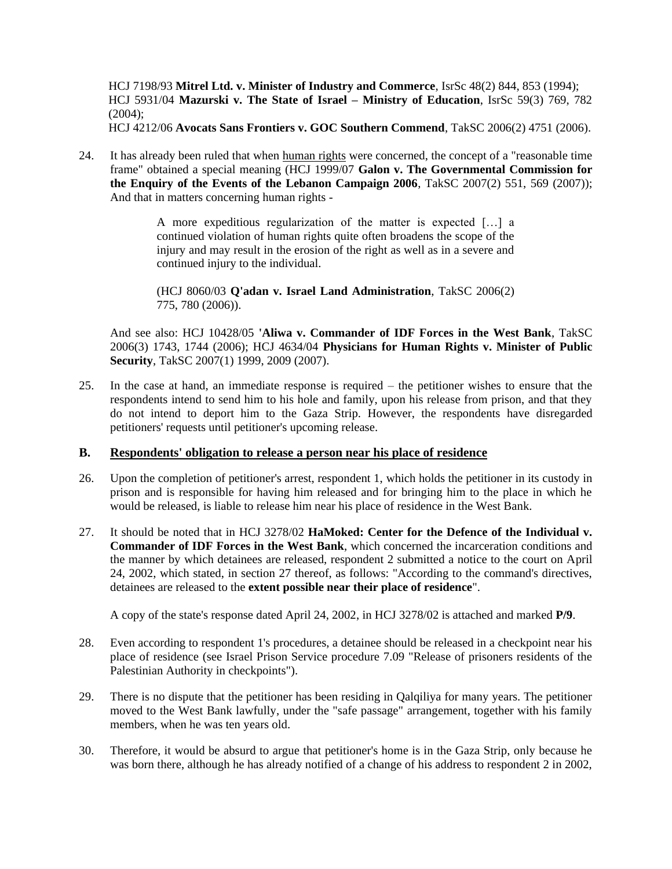HCJ 7198/93 **Mitrel Ltd. v. Minister of Industry and Commerce**, IsrSc 48(2) 844, 853 (1994); HCJ 5931/04 **Mazurski v. The State of Israel – Ministry of Education**, IsrSc 59(3) 769, 782  $(2004)$ :

HCJ 4212/06 **Avocats Sans Frontiers v. GOC Southern Commend**, TakSC 2006(2) 4751 (2006).

24. It has already been ruled that when human rights were concerned, the concept of a "reasonable time frame" obtained a special meaning (HCJ 1999/07 **Galon v. The Governmental Commission for the Enquiry of the Events of the Lebanon Campaign 2006**, TakSC 2007(2) 551, 569 (2007)); And that in matters concerning human rights -

> A more expeditious regularization of the matter is expected […] a continued violation of human rights quite often broadens the scope of the injury and may result in the erosion of the right as well as in a severe and continued injury to the individual.

> (HCJ 8060/03 **Q'adan v. Israel Land Administration**, TakSC 2006(2) 775, 780 (2006)).

And see also: HCJ 10428/05 **'Aliwa v. Commander of IDF Forces in the West Bank**, TakSC 2006(3) 1743, 1744 (2006); HCJ 4634/04 **Physicians for Human Rights v. Minister of Public Security**, TakSC 2007(1) 1999, 2009 (2007).

25. In the case at hand, an immediate response is required – the petitioner wishes to ensure that the respondents intend to send him to his hole and family, upon his release from prison, and that they do not intend to deport him to the Gaza Strip. However, the respondents have disregarded petitioners' requests until petitioner's upcoming release.

### **B. Respondents' obligation to release a person near his place of residence**

- 26. Upon the completion of petitioner's arrest, respondent 1, which holds the petitioner in its custody in prison and is responsible for having him released and for bringing him to the place in which he would be released, is liable to release him near his place of residence in the West Bank.
- 27. It should be noted that in HCJ 3278/02 **HaMoked: Center for the Defence of the Individual v. Commander of IDF Forces in the West Bank**, which concerned the incarceration conditions and the manner by which detainees are released, respondent 2 submitted a notice to the court on April 24, 2002, which stated, in section 27 thereof, as follows: "According to the command's directives, detainees are released to the **extent possible near their place of residence**".

A copy of the state's response dated April 24, 2002, in HCJ 3278/02 is attached and marked **P/9**.

- 28. Even according to respondent 1's procedures, a detainee should be released in a checkpoint near his place of residence (see Israel Prison Service procedure 7.09 "Release of prisoners residents of the Palestinian Authority in checkpoints").
- 29. There is no dispute that the petitioner has been residing in Qalqiliya for many years. The petitioner moved to the West Bank lawfully, under the "safe passage" arrangement, together with his family members, when he was ten years old.
- 30. Therefore, it would be absurd to argue that petitioner's home is in the Gaza Strip, only because he was born there, although he has already notified of a change of his address to respondent 2 in 2002,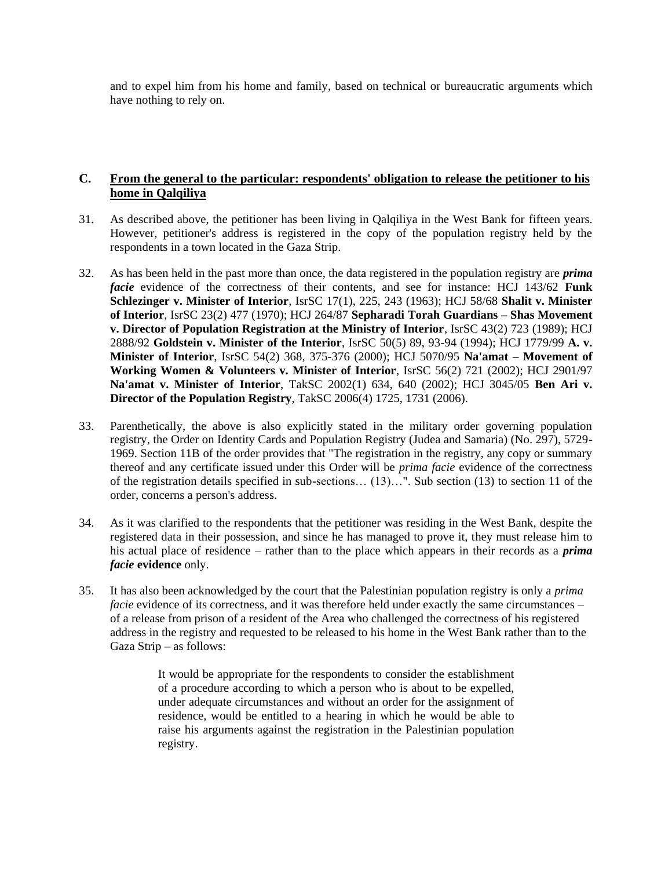and to expel him from his home and family, based on technical or bureaucratic arguments which have nothing to rely on.

## **C. From the general to the particular: respondents' obligation to release the petitioner to his home in Qalqiliya**

- 31. As described above, the petitioner has been living in Qalqiliya in the West Bank for fifteen years. However, petitioner's address is registered in the copy of the population registry held by the respondents in a town located in the Gaza Strip.
- 32. As has been held in the past more than once, the data registered in the population registry are *prima facie* evidence of the correctness of their contents, and see for instance: HCJ 143/62 **Funk Schlezinger v. Minister of Interior**, IsrSC 17(1), 225, 243 (1963); HCJ 58/68 **Shalit v. Minister of Interior**, IsrSC 23(2) 477 (1970); HCJ 264/87 **Sepharadi Torah Guardians – Shas Movement v. Director of Population Registration at the Ministry of Interior**, IsrSC 43(2) 723 (1989); HCJ 2888/92 **Goldstein v. Minister of the Interior**, IsrSC 50(5) 89, 93-94 (1994); HCJ 1779/99 **A. v. Minister of Interior**, IsrSC 54(2) 368, 375-376 (2000); HCJ 5070/95 **Na'amat – Movement of Working Women & Volunteers v. Minister of Interior**, IsrSC 56(2) 721 (2002); HCJ 2901/97 **Na'amat v. Minister of Interior**, TakSC 2002(1) 634, 640 (2002); HCJ 3045/05 **Ben Ari v. Director of the Population Registry**, TakSC 2006(4) 1725, 1731 (2006).
- 33. Parenthetically, the above is also explicitly stated in the military order governing population registry, the Order on Identity Cards and Population Registry (Judea and Samaria) (No. 297), 5729- 1969. Section 11B of the order provides that "The registration in the registry, any copy or summary thereof and any certificate issued under this Order will be *prima facie* evidence of the correctness of the registration details specified in sub-sections… (13)…". Sub section (13) to section 11 of the order, concerns a person's address.
- 34. As it was clarified to the respondents that the petitioner was residing in the West Bank, despite the registered data in their possession, and since he has managed to prove it, they must release him to his actual place of residence – rather than to the place which appears in their records as a *prima facie* **evidence** only.
- 35. It has also been acknowledged by the court that the Palestinian population registry is only a *prima facie* evidence of its correctness, and it was therefore held under exactly the same circumstances – of a release from prison of a resident of the Area who challenged the correctness of his registered address in the registry and requested to be released to his home in the West Bank rather than to the Gaza Strip – as follows:

It would be appropriate for the respondents to consider the establishment of a procedure according to which a person who is about to be expelled, under adequate circumstances and without an order for the assignment of residence, would be entitled to a hearing in which he would be able to raise his arguments against the registration in the Palestinian population registry.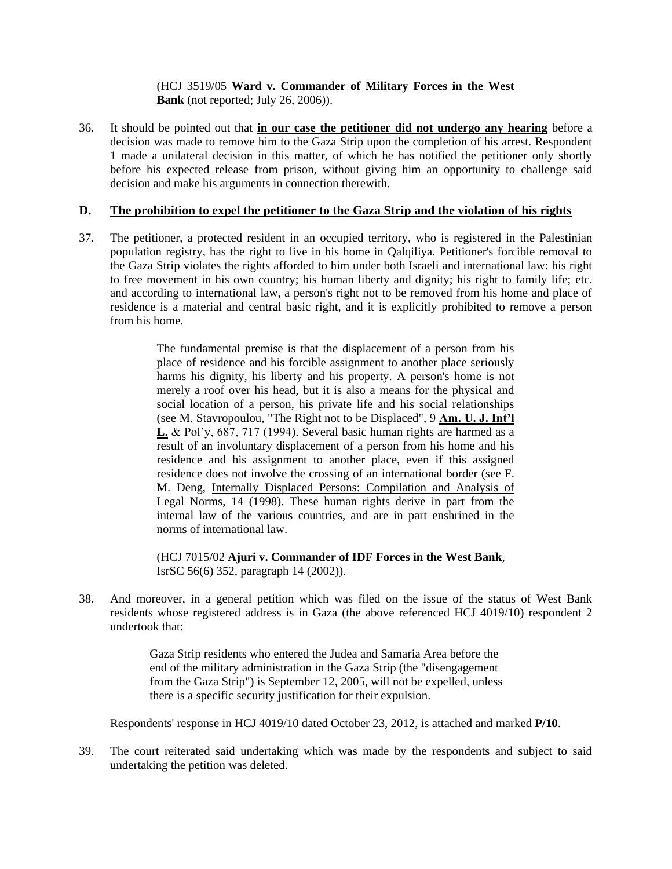#### (HCJ 3519/05 **Ward v. Commander of Military Forces in the West Bank** (not reported; July 26, 2006)).

36. It should be pointed out that **in our case the petitioner did not undergo any hearing** before a decision was made to remove him to the Gaza Strip upon the completion of his arrest. Respondent 1 made a unilateral decision in this matter, of which he has notified the petitioner only shortly before his expected release from prison, without giving him an opportunity to challenge said decision and make his arguments in connection therewith.

### **D. The prohibition to expel the petitioner to the Gaza Strip and the violation of his rights**

37. The petitioner, a protected resident in an occupied territory, who is registered in the Palestinian population registry, has the right to live in his home in Qalqiliya. Petitioner's forcible removal to the Gaza Strip violates the rights afforded to him under both Israeli and international law: his right to free movement in his own country; his human liberty and dignity; his right to family life; etc. and according to international law, a person's right not to be removed from his home and place of residence is a material and central basic right, and it is explicitly prohibited to remove a person from his home.

> The fundamental premise is that the displacement of a person from his place of residence and his forcible assignment to another place seriously harms his dignity, his liberty and his property. A person's home is not merely a roof over his head, but it is also a means for the physical and social location of a person, his private life and his social relationships (see M. Stavropoulou, "The Right not to be Displaced", 9 **Am. U. J. Int'l L.** & Pol'y, 687, 717 (1994). Several basic human rights are harmed as a result of an involuntary displacement of a person from his home and his residence and his assignment to another place, even if this assigned residence does not involve the crossing of an international border (see F. M. Deng, Internally Displaced Persons: Compilation and Analysis of Legal Norms, 14 (1998). These human rights derive in part from the internal law of the various countries, and are in part enshrined in the norms of international law.

(HCJ 7015/02 **Ajuri v. Commander of IDF Forces in the West Bank**, IsrSC 56(6) 352, paragraph 14 (2002)).

38. And moreover, in a general petition which was filed on the issue of the status of West Bank residents whose registered address is in Gaza (the above referenced HCJ 4019/10) respondent 2 undertook that:

> Gaza Strip residents who entered the Judea and Samaria Area before the end of the military administration in the Gaza Strip (the "disengagement from the Gaza Strip") is September 12, 2005, will not be expelled, unless there is a specific security justification for their expulsion.

Respondents' response in HCJ 4019/10 dated October 23, 2012, is attached and marked **P/10**.

39. The court reiterated said undertaking which was made by the respondents and subject to said undertaking the petition was deleted.